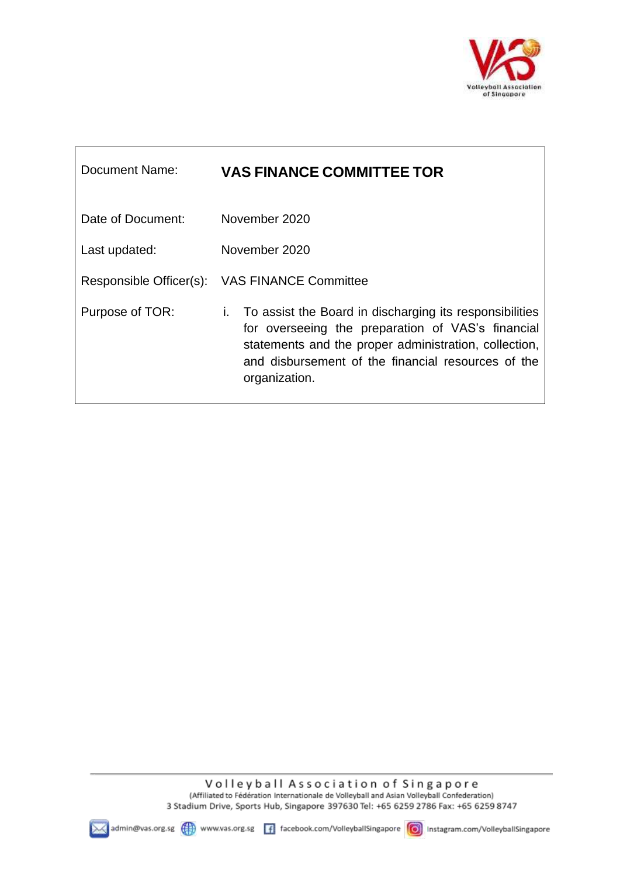

٦

| Document Name:    | <b>VAS FINANCE COMMITTEE TOR</b>                                                                                                                                                                                                                   |
|-------------------|----------------------------------------------------------------------------------------------------------------------------------------------------------------------------------------------------------------------------------------------------|
| Date of Document: | November 2020                                                                                                                                                                                                                                      |
| Last updated:     | November 2020                                                                                                                                                                                                                                      |
|                   | Responsible Officer(s): VAS FINANCE Committee                                                                                                                                                                                                      |
| Purpose of TOR:   | To assist the Board in discharging its responsibilities<br>İ.<br>for overseeing the preparation of VAS's financial<br>statements and the proper administration, collection,<br>and disbursement of the financial resources of the<br>organization. |

 $\overline{\phantom{a}}$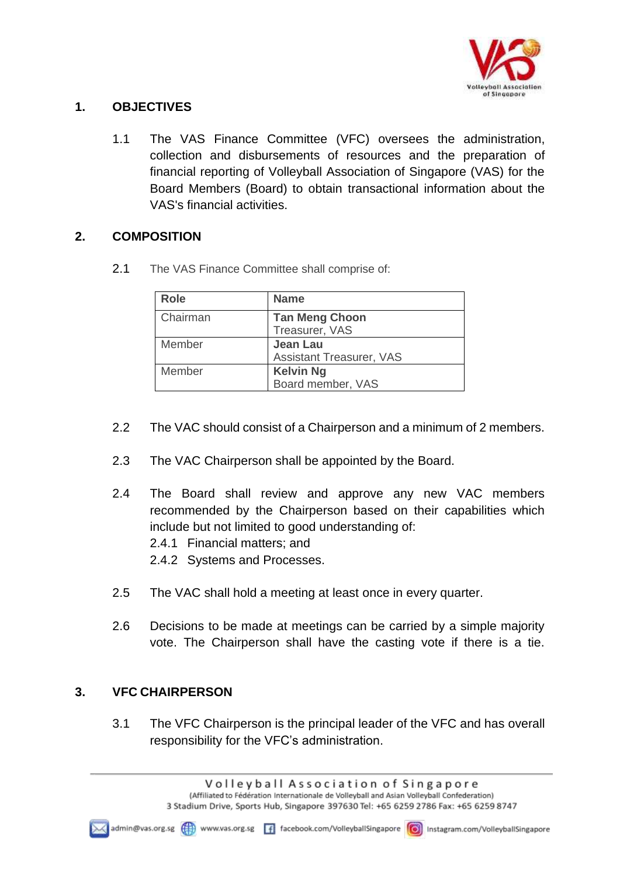

## **1. OBJECTIVES**

1.1 The VAS Finance Committee (VFC) oversees the administration, collection and disbursements of resources and the preparation of financial reporting of Volleyball Association of Singapore (VAS) for the Board Members (Board) to obtain transactional information about the VAS's financial activities.

## **2. COMPOSITION**

2.1 The VAS Finance Committee shall comprise of:

| <b>Role</b> | <b>Name</b>                     |
|-------------|---------------------------------|
| Chairman    | <b>Tan Meng Choon</b>           |
|             | Treasurer, VAS                  |
| Member      | <b>Jean Lau</b>                 |
|             | <b>Assistant Treasurer, VAS</b> |
| Member      | <b>Kelvin Ng</b>                |
|             | Board member, VAS               |

- 2.2 The VAC should consist of a Chairperson and a minimum of 2 members.
- 2.3 The VAC Chairperson shall be appointed by the Board.
- 2.4 The Board shall review and approve any new VAC members recommended by the Chairperson based on their capabilities which include but not limited to good understanding of: 2.4.1 Financial matters; and
	- 2.4.2 Systems and Processes.
- 2.5 The VAC shall hold a meeting at least once in every quarter.
- 2.6 Decisions to be made at meetings can be carried by a simple majority vote. The Chairperson shall have the casting vote if there is a tie.

# **3. VFC CHAIRPERSON**

3.1 The VFC Chairperson is the principal leader of the VFC and has overall responsibility for the VFC's administration.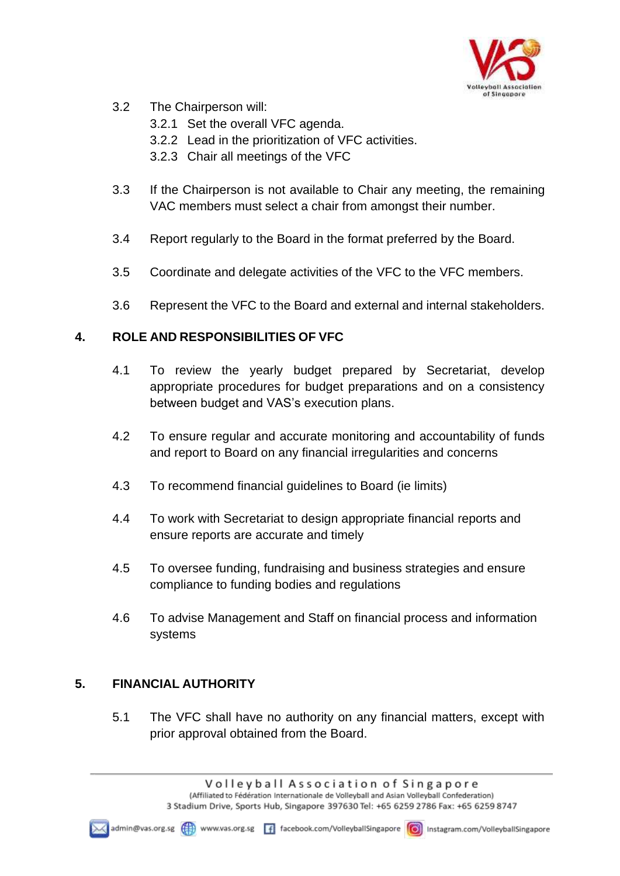

- 3.2 The Chairperson will:
	- 3.2.1 Set the overall VFC agenda.
	- 3.2.2 Lead in the prioritization of VFC activities.
	- 3.2.3 Chair all meetings of the VFC
- 3.3 If the Chairperson is not available to Chair any meeting, the remaining VAC members must select a chair from amongst their number.
- 3.4 Report regularly to the Board in the format preferred by the Board.
- 3.5 Coordinate and delegate activities of the VFC to the VFC members.
- 3.6 Represent the VFC to the Board and external and internal stakeholders.

## **4. ROLE AND RESPONSIBILITIES OF VFC**

- 4.1 To review the yearly budget prepared by Secretariat, develop appropriate procedures for budget preparations and on a consistency between budget and VAS's execution plans.
- 4.2 To ensure regular and accurate monitoring and accountability of funds and report to Board on any financial irregularities and concerns
- 4.3 To recommend financial guidelines to Board (ie limits)
- 4.4 To work with Secretariat to design appropriate financial reports and ensure reports are accurate and timely
- 4.5 To oversee funding, fundraising and business strategies and ensure compliance to funding bodies and regulations
- 4.6 To advise Management and Staff on financial process and information systems

# **5. FINANCIAL AUTHORITY**

5.1 The VFC shall have no authority on any financial matters, except with prior approval obtained from the Board.